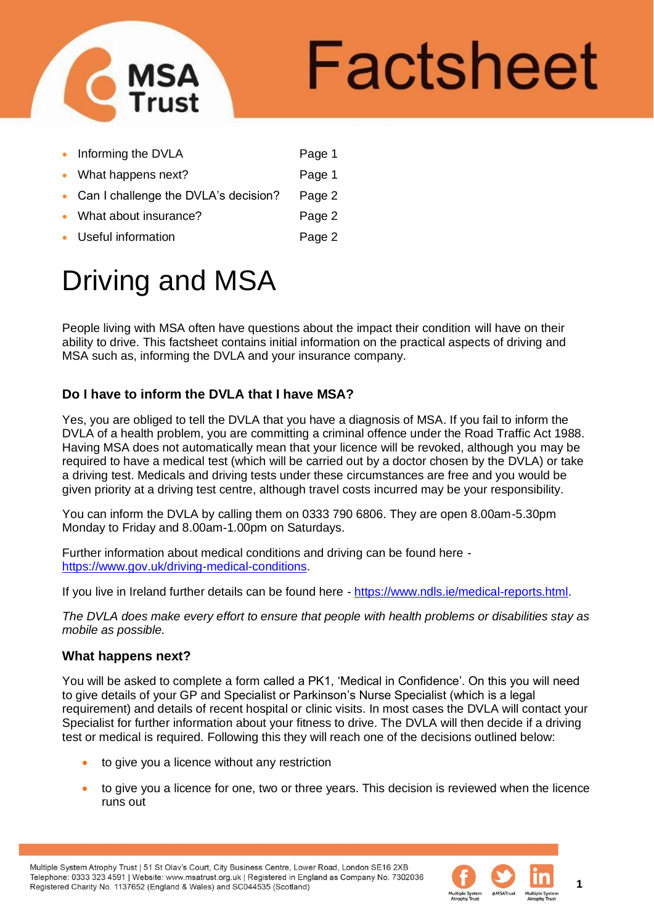

# Factsheet

| • Informing the DVLA                   | Page 1 |
|----------------------------------------|--------|
| • What happens next?                   | Page 1 |
| • Can I challenge the DVLA's decision? | Page 2 |
| • What about insurance?                | Page 2 |
| • Useful information                   | Page 2 |

# Driving and MSA

People living with MSA often have questions about the impact their condition will have on their ability to drive. This factsheet contains initial information on the practical aspects of driving and MSA such as, informing the DVLA and your insurance company.

## **Do I have to inform the DVLA that I have MSA?**

Yes, you are obliged to tell the DVLA that you have a diagnosis of MSA. If you fail to inform the DVLA of a health problem, you are committing a criminal offence under the Road Traffic Act 1988. Having MSA does not automatically mean that your licence will be revoked, although you may be required to have a medical test (which will be carried out by a doctor chosen by the DVLA) or take a driving test. Medicals and driving tests under these circumstances are free and you would be given priority at a driving test centre, although travel costs incurred may be your responsibility.

You can inform the DVLA by calling them on 0333 790 6806. They are open 8.00am-5.30pm Monday to Friday and 8.00am-1.00pm on Saturdays.

Further information about medical conditions and driving can be found here [https://www.gov.uk/driving-medical-conditions.](https://www.gov.uk/driving-medical-conditions)

If you live in Ireland further details can be found here - [https://www.ndls.ie/medical-reports.html.](https://www.ndls.ie/medical-reports.html)

*The DVLA does make every effort to ensure that people with health problems or disabilities stay as mobile as possible.*

#### **What happens next?**

You will be asked to complete a form called a PK1, 'Medical in Confidence'. On this you will need to give details of your GP and Specialist or Parkinson's Nurse Specialist (which is a legal requirement) and details of recent hospital or clinic visits. In most cases the DVLA will contact your Specialist for further information about your fitness to drive. The DVLA will then decide if a driving test or medical is required. Following this they will reach one of the decisions outlined below:

- to give you a licence without any restriction
- to give you a licence for one, two or three years. This decision is reviewed when the licence runs out



**1**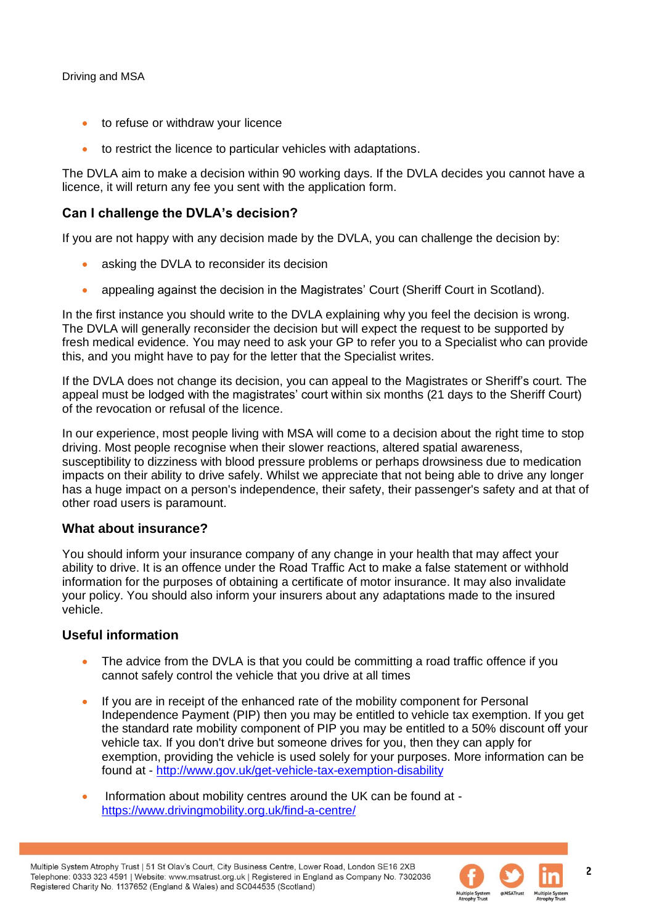- to refuse or withdraw your licence
- to restrict the licence to particular vehicles with adaptations.

The DVLA aim to make a decision within 90 working days. If the DVLA decides you cannot have a licence, it will return any fee you sent with the application form.

### **Can I challenge the DVLA's decision?**

If you are not happy with any decision made by the DVLA, you can challenge the decision by:

- asking the DVLA to reconsider its decision
- appealing against the decision in the Magistrates' Court (Sheriff Court in Scotland).

In the first instance you should write to the DVLA explaining why you feel the decision is wrong. The DVLA will generally reconsider the decision but will expect the request to be supported by fresh medical evidence. You may need to ask your GP to refer you to a Specialist who can provide this, and you might have to pay for the letter that the Specialist writes.

If the DVLA does not change its decision, you can appeal to the Magistrates or Sheriff's court. The appeal must be lodged with the magistrates' court within six months (21 days to the Sheriff Court) of the revocation or refusal of the licence.

In our experience, most people living with MSA will come to a decision about the right time to stop driving. Most people recognise when their slower reactions, altered spatial awareness, susceptibility to dizziness with blood pressure problems or perhaps drowsiness due to medication impacts on their ability to drive safely. Whilst we appreciate that not being able to drive any longer has a huge impact on a person's independence, their safety, their passenger's safety and at that of other road users is paramount.

#### **What about insurance?**

You should inform your insurance company of any change in your health that may affect your ability to drive. It is an offence under the Road Traffic Act to make a false statement or withhold information for the purposes of obtaining a certificate of motor insurance. It may also invalidate your policy. You should also inform your insurers about any adaptations made to the insured vehicle.

#### **Useful information**

- The advice from the DVLA is that you could be committing a road traffic offence if you cannot safely control the vehicle that you drive at all times
- If you are in receipt of the enhanced rate of the mobility component for Personal Independence Payment (PIP) then you may be entitled to vehicle tax exemption. If you get the standard rate mobility component of PIP you may be entitled to a 50% discount off your vehicle tax. If you don't drive but someone drives for you, then they can apply for exemption, providing the vehicle is used solely for your purposes. More information can be found at - [http://www.gov.uk/get-vehicle-tax-exemption-disability](http://www.gov.uk/get-vehicle-tax-exemption-disability.)
- Information about mobility centres around the UK can be found at <https://www.drivingmobility.org.uk/find-a-centre/>



**2**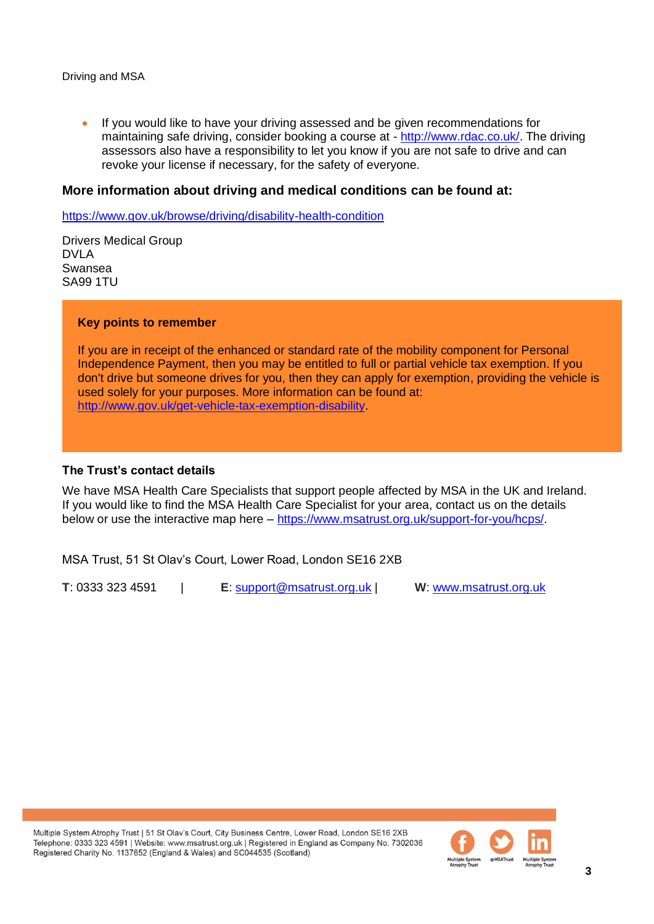• If you would like to have your driving assessed and be given recommendations for maintaining safe driving, consider booking a course at - [http://www.rdac.co.uk/.](http://www.rdac.co.uk/) The driving assessors also have a responsibility to let you know if you are not safe to drive and can revoke your license if necessary, for the safety of everyone.

#### **More information about driving and medical conditions can be found at:**

<https://www.gov.uk/browse/driving/disability-health-condition>

Drivers Medical Group DVLA Swansea SA99 1TU

#### **Key points to remember**

If you are in receipt of the enhanced or standard rate of the mobility component for Personal Independence Payment, then you may be entitled to full or partial vehicle tax exemption. If you don't drive but someone drives for you, then they can apply for exemption, providing the vehicle is used solely for your purposes. More information can be found at: [http://www.gov.uk/get-vehicle-tax-exemption-disability.](http://www.gov.uk/get-vehicle-tax-exemption-disability)

#### **The Trust's contact details**

We have MSA Health Care Specialists that support people affected by MSA in the UK and Ireland. If you would like to find the MSA Health Care Specialist for your area, contact us on the details below or use the interactive map here – [https://www.msatrust.org.uk/support-for-you/hcps/.](https://www.msatrust.org.uk/support-for-you/hcps/)

MSA Trust, 51 St Olav's Court, Lower Road, London SE16 2XB

**T**: 0333 323 4591 | **E**: [support@msatrust.org.uk](mailto:support@msatrust.org.uk) | **W**: [www.msatrust.org.uk](http://www.msatrust.org.uk/)

Multiple System Atrophy Trust | 51 St Olav's Court, City Business Centre, Lower Road, London SE16 2XB Telephone: 0333 323 4591 | Website: www.msatrust.org.uk | Registered in England as Company No. 7302036 Registered Charity No. 1137652 (England & Wales) and SC044535 (Scotland)